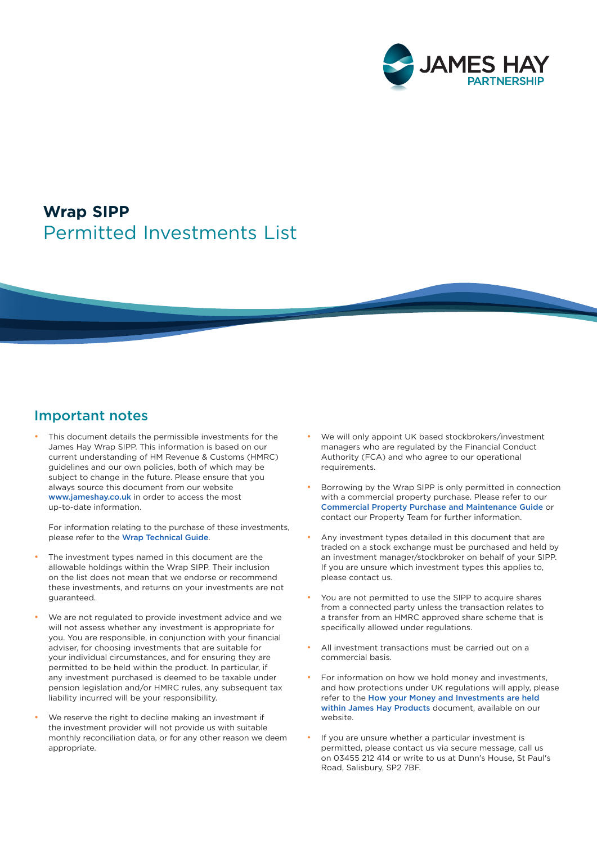

# Permitted Investments List **Wrap SIPP**

#### Important notes

• This document details the permissible investments for the James Hay Wrap SIPP. This information is based on our current understanding of HM Revenue & Customs (HMRC) guidelines and our own policies, both of which may be subject to change in the future. Please ensure that you always source this document from our website [www.jameshay.co.uk](http://www.jameshay.co.uk) in order to access the most up-to-date information.

For information relating to the purchase of these investments, please refer to the [Wrap Technical Guide](https://www.jameshay.co.uk/OldCMS/DocumentView.aspx?DocumentID=3000).

- The investment types named in this document are the allowable holdings within the Wrap SIPP. Their inclusion on the list does not mean that we endorse or recommend these investments, and returns on your investments are not guaranteed.
- We are not regulated to provide investment advice and we will not assess whether any investment is appropriate for you. You are responsible, in conjunction with your financial adviser, for choosing investments that are suitable for your individual circumstances, and for ensuring they are permitted to be held within the product. In particular, if any investment purchased is deemed to be taxable under pension legislation and/or HMRC rules, any subsequent tax liability incurred will be your responsibility.
- We reserve the right to decline making an investment if the investment provider will not provide us with suitable monthly reconciliation data, or for any other reason we deem appropriate.
- We will only appoint UK based stockbrokers/investment managers who are regulated by the Financial Conduct Authority (FCA) and who agree to our operational requirements.
- Borrowing by the Wrap SIPP is only permitted in connection with a commercial property purchase. Please refer to our [Commercial Property Purchase and Maintenance Guide](https://www.jameshay.co.uk/OldCMS/DocumentView.aspx?DocumentID=87) or contact our Property Team for further information.
- Any investment types detailed in this document that are traded on a stock exchange must be purchased and held by an investment manager/stockbroker on behalf of your SIPP. If you are unsure which investment types this applies to, please contact us.
- You are not permitted to use the SIPP to acquire shares from a connected party unless the transaction relates to a transfer from an HMRC approved share scheme that is specifically allowed under regulations.
- All investment transactions must be carried out on a commercial basis.
- For information on how we hold money and investments, and how protections under UK regulations will apply, please refer to the [How your Money and Investments are held](https://www.jameshay.co.uk/OldCMS/DocumentView.aspx?DocumentID=3024)  [within James Hay Products](https://www.jameshay.co.uk/OldCMS/DocumentView.aspx?DocumentID=3024) document, available on our website.
- If you are unsure whether a particular investment is permitted, please contact us via secure message, call us on 03455 212 414 or write to us at Dunn's House, St Paul's Road, Salisbury, SP2 7BF.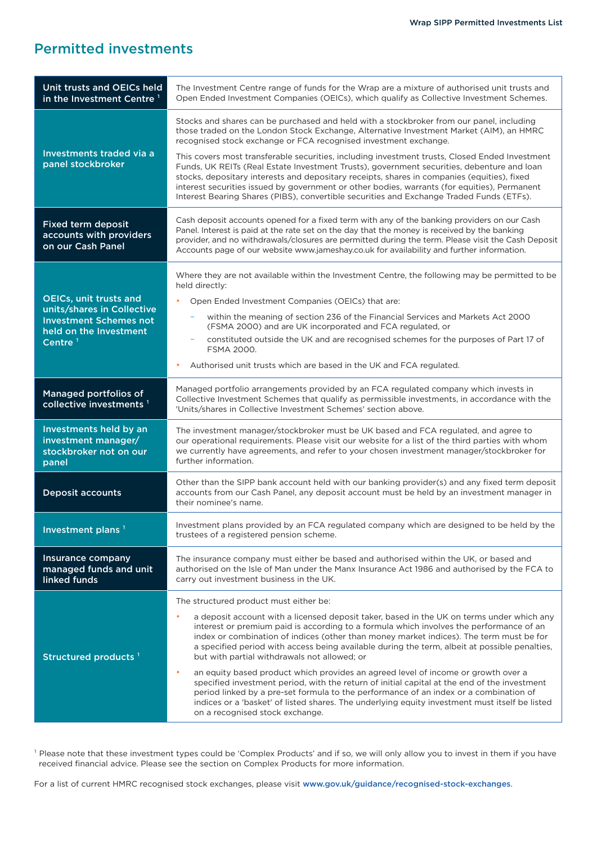### Permitted investments

| Unit trusts and OEICs held<br>in the Investment Centre <sup>1</sup>                                                                  | The Investment Centre range of funds for the Wrap are a mixture of authorised unit trusts and<br>Open Ended Investment Companies (OEICs), which qualify as Collective Investment Schemes.                                                                                                                                                                                                                                                                                                                                                                                                                                                                                                                                                                                                                                                                                                               |
|--------------------------------------------------------------------------------------------------------------------------------------|---------------------------------------------------------------------------------------------------------------------------------------------------------------------------------------------------------------------------------------------------------------------------------------------------------------------------------------------------------------------------------------------------------------------------------------------------------------------------------------------------------------------------------------------------------------------------------------------------------------------------------------------------------------------------------------------------------------------------------------------------------------------------------------------------------------------------------------------------------------------------------------------------------|
| Investments traded via a<br>panel stockbroker                                                                                        | Stocks and shares can be purchased and held with a stockbroker from our panel, including<br>those traded on the London Stock Exchange, Alternative Investment Market (AIM), an HMRC<br>recognised stock exchange or FCA recognised investment exchange.<br>This covers most transferable securities, including investment trusts, Closed Ended Investment<br>Funds, UK REITs (Real Estate Investment Trusts), government securities, debenture and loan<br>stocks, depositary interests and depositary receipts, shares in companies (equities), fixed<br>interest securities issued by government or other bodies, warrants (for equities), Permanent<br>Interest Bearing Shares (PIBS), convertible securities and Exchange Traded Funds (ETFs).                                                                                                                                                      |
| <b>Fixed term deposit</b><br>accounts with providers<br>on our Cash Panel                                                            | Cash deposit accounts opened for a fixed term with any of the banking providers on our Cash<br>Panel. Interest is paid at the rate set on the day that the money is received by the banking<br>provider, and no withdrawals/closures are permitted during the term. Please visit the Cash Deposit<br>Accounts page of our website www.jameshay.co.uk for availability and further information.                                                                                                                                                                                                                                                                                                                                                                                                                                                                                                          |
| <b>OEICs, unit trusts and</b><br>units/shares in Collective<br><b>Investment Schemes not</b><br>held on the Investment<br>Centre $1$ | Where they are not available within the Investment Centre, the following may be permitted to be<br>held directly:<br>Open Ended Investment Companies (OEICs) that are:<br>٠<br>within the meaning of section 236 of the Financial Services and Markets Act 2000<br>(FSMA 2000) and are UK incorporated and FCA regulated, or<br>constituted outside the UK and are recognised schemes for the purposes of Part 17 of<br>FSMA 2000.<br>Authorised unit trusts which are based in the UK and FCA regulated.<br>٠                                                                                                                                                                                                                                                                                                                                                                                          |
| Managed portfolios of<br>collective investments <sup>1</sup>                                                                         | Managed portfolio arrangements provided by an FCA regulated company which invests in<br>Collective Investment Schemes that qualify as permissible investments, in accordance with the<br>'Units/shares in Collective Investment Schemes' section above.                                                                                                                                                                                                                                                                                                                                                                                                                                                                                                                                                                                                                                                 |
| Investments held by an<br>investment manager/<br>stockbroker not on our<br>panel                                                     | The investment manager/stockbroker must be UK based and FCA regulated, and agree to<br>our operational requirements. Please visit our website for a list of the third parties with whom<br>we currently have agreements, and refer to your chosen investment manager/stockbroker for<br>further information.                                                                                                                                                                                                                                                                                                                                                                                                                                                                                                                                                                                            |
| <b>Deposit accounts</b>                                                                                                              | Other than the SIPP bank account held with our banking provider(s) and any fixed term deposit<br>accounts from our Cash Panel, any deposit account must be held by an investment manager in<br>their nominee's name.                                                                                                                                                                                                                                                                                                                                                                                                                                                                                                                                                                                                                                                                                    |
| Investment plans <sup>1</sup>                                                                                                        | Investment plans provided by an FCA regulated company which are designed to be held by the<br>trustees of a registered pension scheme.                                                                                                                                                                                                                                                                                                                                                                                                                                                                                                                                                                                                                                                                                                                                                                  |
| Insurance company<br>managed funds and unit<br>linked funds                                                                          | The insurance company must either be based and authorised within the UK, or based and<br>authorised on the Isle of Man under the Manx Insurance Act 1986 and authorised by the FCA to<br>carry out investment business in the UK.                                                                                                                                                                                                                                                                                                                                                                                                                                                                                                                                                                                                                                                                       |
| Structured products <sup>1</sup>                                                                                                     | The structured product must either be:<br>۰<br>a deposit account with a licensed deposit taker, based in the UK on terms under which any<br>interest or premium paid is according to a formula which involves the performance of an<br>index or combination of indices (other than money market indices). The term must be for<br>a specified period with access being available during the term, albeit at possible penalties,<br>but with partial withdrawals not allowed; or<br>an equity based product which provides an agreed level of income or growth over a<br>٠<br>specified investment period, with the return of initial capital at the end of the investment<br>period linked by a pre-set formula to the performance of an index or a combination of<br>indices or a 'basket' of listed shares. The underlying equity investment must itself be listed<br>on a recognised stock exchange. |

<sup>1</sup> Please note that these investment types could be 'Complex Products' and if so, we will only allow you to invest in them if you have received financial advice. Please see the section on Complex Products for more information.

For a list of current HMRC recognised stock exchanges, please visit [www.gov.uk/guidance/recognised-stock-exchanges](http://www.gov.uk/guidance/recognised-stock-exchanges).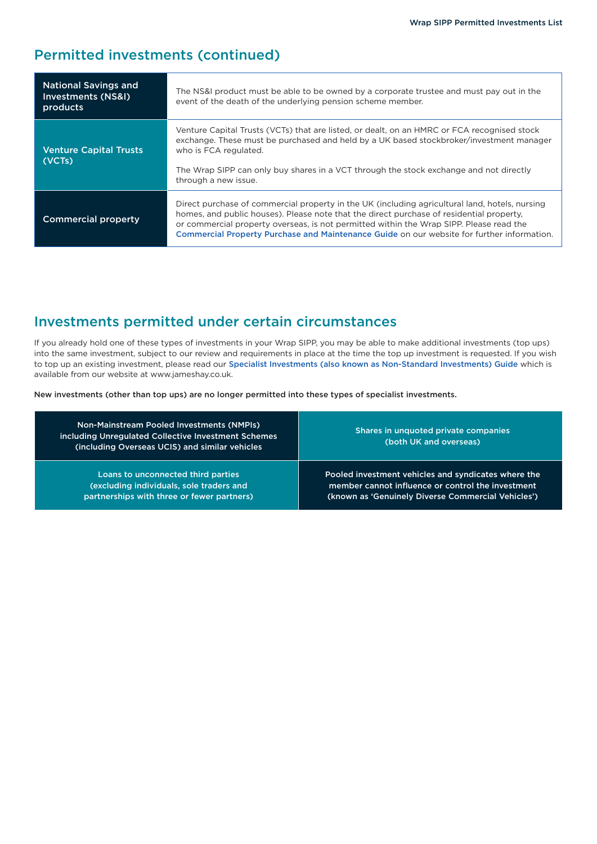### Permitted investments (continued)

| <b>National Savings and</b><br>Investments (NS&I)<br>products | The NS&I product must be able to be owned by a corporate trustee and must pay out in the<br>event of the death of the underlying pension scheme member.                                                                                                                                                                                                                             |
|---------------------------------------------------------------|-------------------------------------------------------------------------------------------------------------------------------------------------------------------------------------------------------------------------------------------------------------------------------------------------------------------------------------------------------------------------------------|
| <b>Venture Capital Trusts</b><br>(VCTs)                       | Venture Capital Trusts (VCTs) that are listed, or dealt, on an HMRC or FCA recognised stock<br>exchange. These must be purchased and held by a UK based stockbroker/investment manager<br>who is FCA regulated.<br>The Wrap SIPP can only buy shares in a VCT through the stock exchange and not directly<br>through a new issue.                                                   |
| <b>Commercial property</b>                                    | Direct purchase of commercial property in the UK (including agricultural land, hotels, nursing<br>homes, and public houses). Please note that the direct purchase of residential property,<br>or commercial property overseas, is not permitted within the Wrap SIPP. Please read the<br>Commercial Property Purchase and Maintenance Guide on our website for further information. |

## Investments permitted under certain circumstances

If you already hold one of these types of investments in your Wrap SIPP, you may be able to make additional investments (top ups) into the same investment, subject to our review and requirements in place at the time the top up investment is requested. If you wish to top up an existing investment, please read our [Specialist Investments \(also known as Non-Standard Investments\) Guide](https://www.jameshay.co.uk/OldCMS/DocumentView.aspx?DocumentID=3150) which is available from our website at www.jameshay.co.uk.

New investments (other than top ups) are no longer permitted into these types of specialist investments.

| Non-Mainstream Pooled Investments (NMPIs)<br>including Unregulated Collective Investment Schemes<br>(including Overseas UCIS) and similar vehicles | Shares in unquoted private companies<br>(both UK and overseas) |
|----------------------------------------------------------------------------------------------------------------------------------------------------|----------------------------------------------------------------|
| Loans to unconnected third parties                                                                                                                 | Pooled investment vehicles and syndicates where the            |
| (excluding individuals, sole traders and                                                                                                           | member cannot influence or control the investment              |
| partnerships with three or fewer partners)                                                                                                         | (known as 'Genuinely Diverse Commercial Vehicles')             |